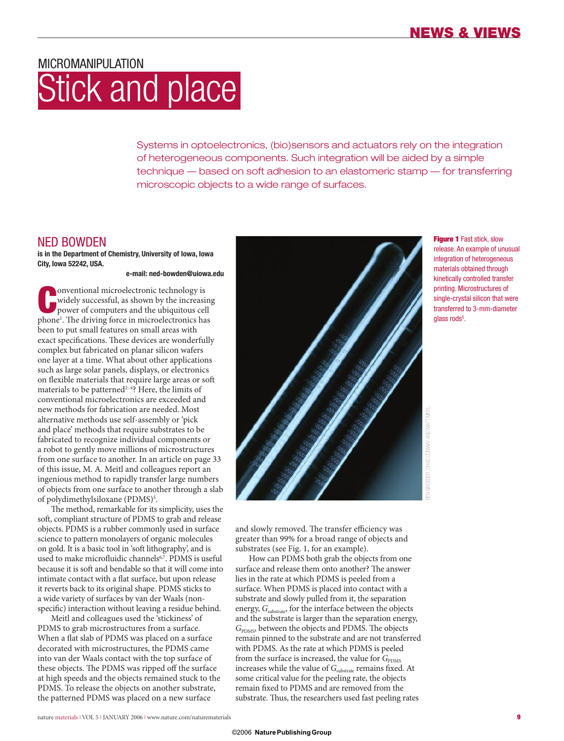# MICROMANIPUL ATION Stick and place

Systems in optoelectronics, (bio)sensors and actuators rely on the integration of heterogeneous components. Such integration will be aided by a simple technique — based on soft adhesion to an elastomeric stamp — for transferring microscopic objects to a wide range of surfaces.

## NED BOWDEN

**is in the Department of Chemistry, University of Iowa, Iowa City, Iowa 52242, USA.**

**e-mail: ned-bowden@uiowa.edu**

**C**phonentional microelectronic technology is<br>
widely successful, as shown by the increasing<br>
power of computers and the ubiquitous cell<br>
phone<sup>1</sup>. The driving force in microelectronics has onventional microelectronic technology is widely successful, as shown by the increasing power of computers and the ubiquitous cell been to put small features on small areas with exact specifications. These devices are wonderfully complex but fabricated on planar silicon wafers one layer at a time. What about other applications such as large solar panels, displays, or electronics on flexible materials that require large areas or soft materials to be patterned<sup>2-4</sup>? Here, the limits of conventional microelectronics are exceeded and new methods for fabrication are needed. Most alternative methods use self-assembly or 'pick and place' methods that require substrates to be fabricated to recognize individual components or a robot to gently move millions of microstructures from one surface to another. In an article on page 33 of this issue, M. A. Meitl and colleagues report an ingenious method to rapidly transfer large numbers of objects from one surface to another through a slab of polydimethylsiloxane (PDMS)<sup>5</sup>.

The method, remarkable for its simplicity, uses the soft, compliant structure of PDMS to grab and release objects. PDMS is a rubber commonly used in surface science to pattern monolayers of organic molecules on gold. It is a basic tool in 'soft lithography', and is used to make microfluidic channels<sup>6,7</sup>. PDMS is useful because it is soft and bendable so that it will come into intimate contact with a flat surface, but upon release it reverts back to its original shape. PDMS sticks to a wide variety of surfaces by van der Waals (nonspecific) interaction without leaving a residue behind.

Meitl and colleagues used the 'stickiness' of PDMS to grab microstructures from a surface. When a flat slab of PDMS was placed on a surface decorated with microstructures, the PDMS came into van der Waals contact with the top surface of these objects. The PDMS was ripped off the surface at high speeds and the objects remained stuck to the PDMS. To release the objects on another substrate, the patterned PDMS was placed on a new surface



**Figure 1** Fast stick, slow release. An example of unusual integration of heterogeneous materials obtained through kinetically controlled transfer printing. Microstructures of single-crystal silicon that were transferred to 3-mm-diameter glass rods<sup>5</sup>.

BEN GROSSER, CHAS CONWAY AND MATT MEITL CHAS CONWAY AND MATT

and slowly removed. The transfer efficiency was greater than 99% for a broad range of objects and substrates (see Fig. 1, for an example).

How can PDMS both grab the objects from one surface and release them onto another? The answer lies in the rate at which PDMS is peeled from a surface. When PDMS is placed into contact with a substrate and slowly pulled from it, the separation energy,  $G_{\text{substrate}}$ , for the interface between the objects and the substrate is larger than the separation energy, *G*<sub>PDMS</sub>, between the objects and PDMS. The objects remain pinned to the substrate and are not transferred with PDMS. As the rate at which PDMS is peeled from the surface is increased, the value for  $G_{\text{PDMS}}$ increases while the value of  $G_{\rm substrate}$  remains fixed. At some critical value for the peeling rate, the objects remain fixed to PDMS and are removed from the substrate. Thus, the researchers used fast peeling rates